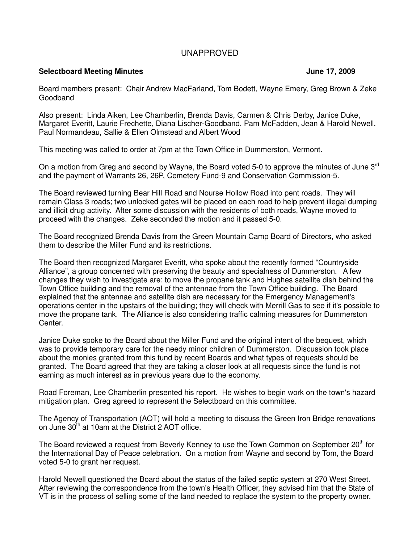## UNAPPROVED

## **Selectboard Meeting Minutes Access 2009 June 17, 2009**

## Board members present: Chair Andrew MacFarland, Tom Bodett, Wayne Emery, Greg Brown & Zeke Goodband

Also present: Linda Aiken, Lee Chamberlin, Brenda Davis, Carmen & Chris Derby, Janice Duke, Margaret Everitt, Laurie Frechette, Diana Lischer-Goodband, Pam McFadden, Jean & Harold Newell, Paul Normandeau, Sallie & Ellen Olmstead and Albert Wood

This meeting was called to order at 7pm at the Town Office in Dummerston, Vermont.

On a motion from Greg and second by Wayne, the Board voted 5-0 to approve the minutes of June  $3<sup>rd</sup>$ and the payment of Warrants 26, 26P, Cemetery Fund-9 and Conservation Commission-5.

The Board reviewed turning Bear Hill Road and Nourse Hollow Road into pent roads. They will remain Class 3 roads; two unlocked gates will be placed on each road to help prevent illegal dumping and illicit drug activity. After some discussion with the residents of both roads, Wayne moved to proceed with the changes. Zeke seconded the motion and it passed 5-0.

The Board recognized Brenda Davis from the Green Mountain Camp Board of Directors, who asked them to describe the Miller Fund and its restrictions.

The Board then recognized Margaret Everitt, who spoke about the recently formed "Countryside Alliance", a group concerned with preserving the beauty and specialness of Dummerston. A few changes they wish to investigate are: to move the propane tank and Hughes satellite dish behind the Town Office building and the removal of the antennae from the Town Office building. The Board explained that the antennae and satellite dish are necessary for the Emergency Management's operations center in the upstairs of the building; they will check with Merrill Gas to see if it's possible to move the propane tank. The Alliance is also considering traffic calming measures for Dummerston Center.

Janice Duke spoke to the Board about the Miller Fund and the original intent of the bequest, which was to provide temporary care for the needy minor children of Dummerston. Discussion took place about the monies granted from this fund by recent Boards and what types of requests should be granted. The Board agreed that they are taking a closer look at all requests since the fund is not earning as much interest as in previous years due to the economy.

Road Foreman, Lee Chamberlin presented his report. He wishes to begin work on the town's hazard mitigation plan. Greg agreed to represent the Selectboard on this committee.

The Agency of Transportation (AOT) will hold a meeting to discuss the Green Iron Bridge renovations on June 30<sup>th</sup> at 10am at the District 2 AOT office.

The Board reviewed a request from Beverly Kenney to use the Town Common on September  $20<sup>th</sup>$  for the International Day of Peace celebration. On a motion from Wayne and second by Tom, the Board voted 5-0 to grant her request.

Harold Newell questioned the Board about the status of the failed septic system at 270 West Street. After reviewing the correspondence from the town's Health Officer, they advised him that the State of VT is in the process of selling some of the land needed to replace the system to the property owner.